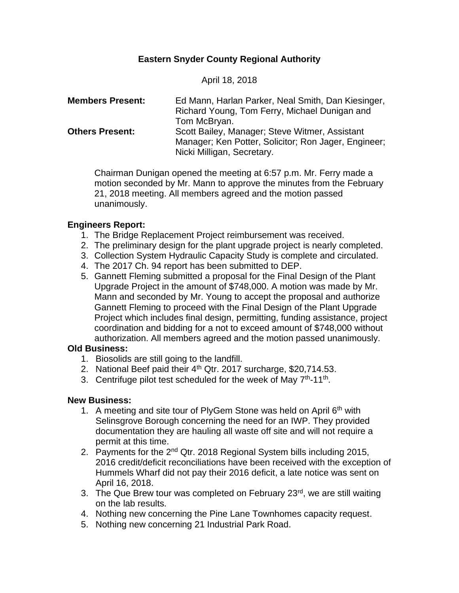# **Eastern Snyder County Regional Authority**

April 18, 2018

| <b>Members Present:</b> | Ed Mann, Harlan Parker, Neal Smith, Dan Kiesinger,   |
|-------------------------|------------------------------------------------------|
|                         | Richard Young, Tom Ferry, Michael Dunigan and        |
|                         | Tom McBryan.                                         |
| <b>Others Present:</b>  | Scott Bailey, Manager; Steve Witmer, Assistant       |
|                         | Manager; Ken Potter, Solicitor; Ron Jager, Engineer; |
|                         | Nicki Milligan, Secretary.                           |

Chairman Dunigan opened the meeting at 6:57 p.m. Mr. Ferry made a motion seconded by Mr. Mann to approve the minutes from the February 21, 2018 meeting. All members agreed and the motion passed unanimously.

## **Engineers Report:**

- 1. The Bridge Replacement Project reimbursement was received.
- 2. The preliminary design for the plant upgrade project is nearly completed.
- 3. Collection System Hydraulic Capacity Study is complete and circulated.
- 4. The 2017 Ch. 94 report has been submitted to DEP.
- 5. Gannett Fleming submitted a proposal for the Final Design of the Plant Upgrade Project in the amount of \$748,000. A motion was made by Mr. Mann and seconded by Mr. Young to accept the proposal and authorize Gannett Fleming to proceed with the Final Design of the Plant Upgrade Project which includes final design, permitting, funding assistance, project coordination and bidding for a not to exceed amount of \$748,000 without authorization. All members agreed and the motion passed unanimously.

# **Old Business:**

- 1. Biosolids are still going to the landfill.
- 2. National Beef paid their 4<sup>th</sup> Qtr. 2017 surcharge, \$20,714.53.
- 3. Centrifuge pilot test scheduled for the week of May 7<sup>th</sup>-11<sup>th</sup>.

# **New Business:**

- 1. A meeting and site tour of PlyGem Stone was held on April  $6<sup>th</sup>$  with Selinsgrove Borough concerning the need for an IWP. They provided documentation they are hauling all waste off site and will not require a permit at this time.
- 2. Payments for the  $2^{nd}$  Qtr. 2018 Regional System bills including 2015, 2016 credit/deficit reconciliations have been received with the exception of Hummels Wharf did not pay their 2016 deficit, a late notice was sent on April 16, 2018.
- 3. The Que Brew tour was completed on February 23<sup>rd</sup>, we are still waiting on the lab results.
- 4. Nothing new concerning the Pine Lane Townhomes capacity request.
- 5. Nothing new concerning 21 Industrial Park Road.